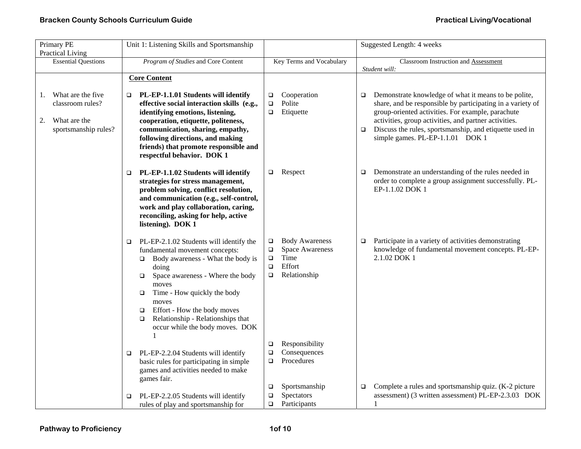| Primary PE<br><b>Practical Living</b>                                                  | Unit 1: Listening Skills and Sportsmanship                                                                                                                                                                                                                                                                                                                                                                                                                                                                                           |                                                                                                                                                                                                                                              | Suggested Length: 4 weeks                                                                                                                                                                                                                                                                                                                           |
|----------------------------------------------------------------------------------------|--------------------------------------------------------------------------------------------------------------------------------------------------------------------------------------------------------------------------------------------------------------------------------------------------------------------------------------------------------------------------------------------------------------------------------------------------------------------------------------------------------------------------------------|----------------------------------------------------------------------------------------------------------------------------------------------------------------------------------------------------------------------------------------------|-----------------------------------------------------------------------------------------------------------------------------------------------------------------------------------------------------------------------------------------------------------------------------------------------------------------------------------------------------|
| <b>Essential Questions</b>                                                             | Program of Studies and Core Content                                                                                                                                                                                                                                                                                                                                                                                                                                                                                                  | Key Terms and Vocabulary                                                                                                                                                                                                                     | Classroom Instruction and Assessment<br>Student will:                                                                                                                                                                                                                                                                                               |
|                                                                                        | <b>Core Content</b>                                                                                                                                                                                                                                                                                                                                                                                                                                                                                                                  |                                                                                                                                                                                                                                              |                                                                                                                                                                                                                                                                                                                                                     |
| 1. What are the five<br>classroom rules?<br>What are the<br>2.<br>sportsmanship rules? | $\Box$ PL-EP-1.1.01 Students will identify<br>effective social interaction skills (e.g.,<br>identifying emotions, listening,<br>cooperation, etiquette, politeness,<br>communication, sharing, empathy,<br>following directions, and making<br>friends) that promote responsible and<br>respectful behavior. DOK 1                                                                                                                                                                                                                   | Cooperation<br>$\Box$<br>Polite<br>$\Box$<br>Etiquette<br>$\Box$                                                                                                                                                                             | Demonstrate knowledge of what it means to be polite,<br>$\Box$<br>share, and be responsible by participating in a variety of<br>group-oriented activities. For example, parachute<br>activities, group activities, and partner activities.<br>Discuss the rules, sportsmanship, and etiquette used in<br>$\Box$<br>simple games. PL-EP-1.1.01 DOK 1 |
|                                                                                        | PL-EP-1.1.02 Students will identify<br>$\Box$<br>strategies for stress management,<br>problem solving, conflict resolution,<br>and communication (e.g., self-control,<br>work and play collaboration, caring,<br>reconciling, asking for help, active<br>listening). DOK 1                                                                                                                                                                                                                                                           | Respect<br>$\Box$                                                                                                                                                                                                                            | Demonstrate an understanding of the rules needed in<br>□<br>order to complete a group assignment successfully. PL-<br>EP-1.1.02 DOK 1                                                                                                                                                                                                               |
|                                                                                        | PL-EP-2.1.02 Students will identify the<br>$\Box$<br>fundamental movement concepts:<br>$\Box$ Body awareness - What the body is<br>doing<br>Space awareness - Where the body<br>$\Box$<br>moves<br>Time - How quickly the body<br>$\Box$<br>moves<br>Effort - How the body moves<br>$\Box$<br>Relationship - Relationships that<br>$\Box$<br>occur while the body moves. DOK<br>-1<br>PL-EP-2.2.04 Students will identify<br>$\Box$<br>basic rules for participating in simple<br>games and activities needed to make<br>games fair. | <b>Body Awareness</b><br>$\Box$<br><b>Space Awareness</b><br>$\Box$<br>Time<br>$\Box$<br>Effort<br>$\Box$<br>Relationship<br>$\Box$<br>Responsibility<br>$\Box$<br>Consequences<br>$\Box$<br>Procedures<br>$\Box$<br>Sportsmanship<br>$\Box$ | Participate in a variety of activities demonstrating<br>$\Box$<br>knowledge of fundamental movement concepts. PL-EP-<br>2.1.02 DOK 1<br>Complete a rules and sportsmanship quiz. (K-2 picture<br>□                                                                                                                                                  |
|                                                                                        | PL-EP-2.2.05 Students will identify<br>$\Box$<br>rules of play and sportsmanship for                                                                                                                                                                                                                                                                                                                                                                                                                                                 | Spectators<br>$\Box$<br>Participants<br>$\Box$                                                                                                                                                                                               | assessment) (3 written assessment) PL-EP-2.3.03 DOK<br>1                                                                                                                                                                                                                                                                                            |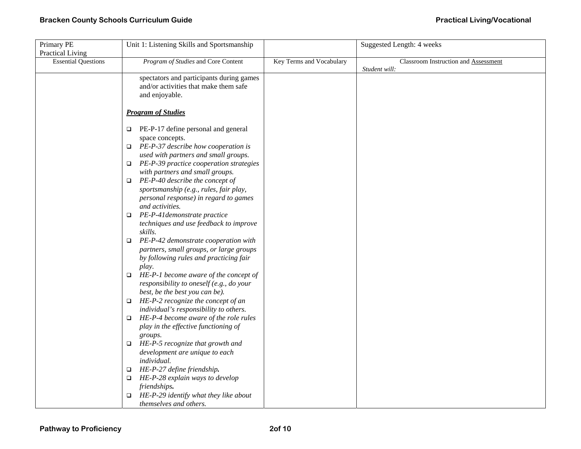| Primary PE                 | Unit 1: Listening Skills and Sportsmanship     |                          | Suggested Length: 4 weeks            |
|----------------------------|------------------------------------------------|--------------------------|--------------------------------------|
| Practical Living           |                                                |                          |                                      |
| <b>Essential Questions</b> | Program of Studies and Core Content            | Key Terms and Vocabulary | Classroom Instruction and Assessment |
|                            |                                                |                          | Student will:                        |
|                            | spectators and participants during games       |                          |                                      |
|                            | and/or activities that make them safe          |                          |                                      |
|                            | and enjoyable.                                 |                          |                                      |
|                            |                                                |                          |                                      |
|                            | <b>Program of Studies</b>                      |                          |                                      |
|                            | PE-P-17 define personal and general<br>$\Box$  |                          |                                      |
|                            | space concepts.                                |                          |                                      |
|                            | $\Box$ PE-P-37 describe how cooperation is     |                          |                                      |
|                            | used with partners and small groups.           |                          |                                      |
|                            | $\Box$ PE-P-39 practice cooperation strategies |                          |                                      |
|                            | with partners and small groups.                |                          |                                      |
|                            | $\Box$ PE-P-40 describe the concept of         |                          |                                      |
|                            | sportsmanship (e.g., rules, fair play,         |                          |                                      |
|                            | personal response) in regard to games          |                          |                                      |
|                            | and activities.                                |                          |                                      |
|                            | $\Box$ PE-P-41 demonstrate practice            |                          |                                      |
|                            | techniques and use feedback to improve         |                          |                                      |
|                            | skills.                                        |                          |                                      |
|                            | $\Box$ PE-P-42 demonstrate cooperation with    |                          |                                      |
|                            | partners, small groups, or large groups        |                          |                                      |
|                            | by following rules and practicing fair         |                          |                                      |
|                            | play.                                          |                          |                                      |
|                            | $\Box$ HE-P-1 become aware of the concept of   |                          |                                      |
|                            | responsibility to oneself (e.g., do your       |                          |                                      |
|                            | best, be the best you can be).                 |                          |                                      |
|                            | $\Box$ HE-P-2 recognize the concept of an      |                          |                                      |
|                            | individual's responsibility to others.         |                          |                                      |
|                            | $\Box$ HE-P-4 become aware of the role rules   |                          |                                      |
|                            | play in the effective functioning of           |                          |                                      |
|                            | groups.                                        |                          |                                      |
|                            | $\Box$ HE-P-5 recognize that growth and        |                          |                                      |
|                            | development are unique to each                 |                          |                                      |
|                            | individual.                                    |                          |                                      |
|                            | HE-P-27 define friendship.<br>$\Box$           |                          |                                      |
|                            | HE-P-28 explain ways to develop<br>$\Box$      |                          |                                      |
|                            | friendships.                                   |                          |                                      |
|                            | $\Box$ HE-P-29 identify what they like about   |                          |                                      |
|                            | themselves and others.                         |                          |                                      |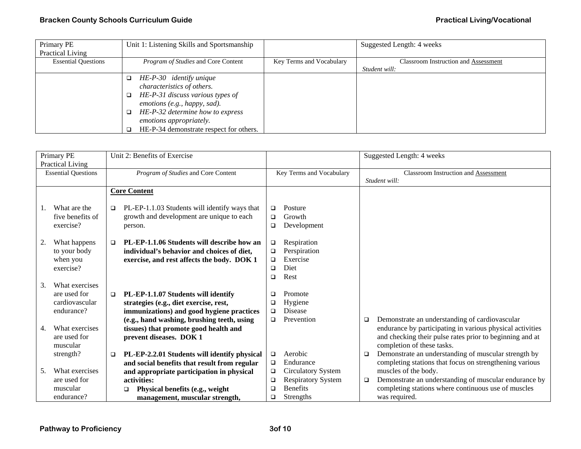| Primary PE                 | Unit 1: Listening Skills and Sportsmanship |                          | Suggested Length: 4 weeks            |
|----------------------------|--------------------------------------------|--------------------------|--------------------------------------|
| Practical Living           |                                            |                          |                                      |
| <b>Essential Questions</b> | <i>Program of Studies</i> and Core Content | Key Terms and Vocabulary | Classroom Instruction and Assessment |
|                            |                                            |                          | Student will:                        |
|                            | HE-P-30 identify unique<br>◻               |                          |                                      |
|                            | characteristics of others.                 |                          |                                      |
|                            | HE-P-31 discuss various types of<br>❏      |                          |                                      |
|                            | emotions (e.g., happy, sad).               |                          |                                      |
|                            | HE-P-32 determine how to express<br>❏      |                          |                                      |
|                            | emotions appropriately.                    |                          |                                      |
|                            | HE-P-34 demonstrate respect for others.    |                          |                                      |

|     | Primary PE                 |        | Unit 2: Benefits of Exercise                  |        |                           |   | Suggested Length: 4 weeks                                 |
|-----|----------------------------|--------|-----------------------------------------------|--------|---------------------------|---|-----------------------------------------------------------|
|     | Practical Living           |        |                                               |        |                           |   |                                                           |
|     | <b>Essential Questions</b> |        | Program of Studies and Core Content           |        | Key Terms and Vocabulary  |   | <b>Classroom Instruction and Assessment</b>               |
|     |                            |        |                                               |        |                           |   | Student will:                                             |
|     |                            |        | <b>Core Content</b>                           |        |                           |   |                                                           |
|     |                            |        |                                               |        |                           |   |                                                           |
|     | What are the               | □      | PL-EP-1.1.03 Students will identify ways that | ❏      | Posture                   |   |                                                           |
|     | five benefits of           |        | growth and development are unique to each     | □      | Growth                    |   |                                                           |
|     | exercise?                  |        | person.                                       | □      | Development               |   |                                                           |
|     |                            |        |                                               |        |                           |   |                                                           |
| 2.  | What happens               | □      | PL-EP-1.1.06 Students will describe how an    | $\Box$ | Respiration               |   |                                                           |
|     | to your body               |        | individual's behavior and choices of diet,    | $\Box$ | Perspiration              |   |                                                           |
|     | when you                   |        | exercise, and rest affects the body. DOK 1    | $\Box$ | Exercise                  |   |                                                           |
|     | exercise?                  |        |                                               | □      | Diet                      |   |                                                           |
|     |                            |        |                                               | $\Box$ | Rest                      |   |                                                           |
| 3.  | What exercises             |        |                                               |        |                           |   |                                                           |
|     | are used for               | $\Box$ | PL-EP-1.1.07 Students will identify           | □      | Promote                   |   |                                                           |
|     | cardiovascular             |        | strategies (e.g., diet exercise, rest,        | $\Box$ | Hygiene                   |   |                                                           |
|     | endurance?                 |        | immunizations) and good hygiene practices     | $\Box$ | Disease                   |   |                                                           |
|     |                            |        | (e.g., hand washing, brushing teeth, using    | $\Box$ | Prevention                | ❏ | Demonstrate an understanding of cardiovascular            |
| 4.  | What exercises             |        | tissues) that promote good health and         |        |                           |   | endurance by participating in various physical activities |
|     | are used for               |        | prevent diseases. DOK 1                       |        |                           |   | and checking their pulse rates prior to beginning and at  |
|     | muscular                   |        |                                               |        |                           |   | completion of these tasks.                                |
|     | strength?                  | o.     | PL-EP-2.2.01 Students will identify physical  | $\Box$ | Aerobic                   | ❏ | Demonstrate an understanding of muscular strength by      |
|     |                            |        | and social benefits that result from regular  | $\Box$ | Endurance                 |   | completing stations that focus on strengthening various   |
| .5. | What exercises             |        | and appropriate participation in physical     | $\Box$ | Circulatory System        |   | muscles of the body.                                      |
|     | are used for               |        | activities:                                   | $\Box$ | <b>Respiratory System</b> | ❏ | Demonstrate an understanding of muscular endurance by     |
|     | muscular                   |        | Physical benefits (e.g., weight<br>□          | □      | <b>Benefits</b>           |   | completing stations where continuous use of muscles       |
|     | endurance?                 |        | management, muscular strength,                | □      | Strengths                 |   | was required.                                             |
|     |                            |        |                                               |        |                           |   |                                                           |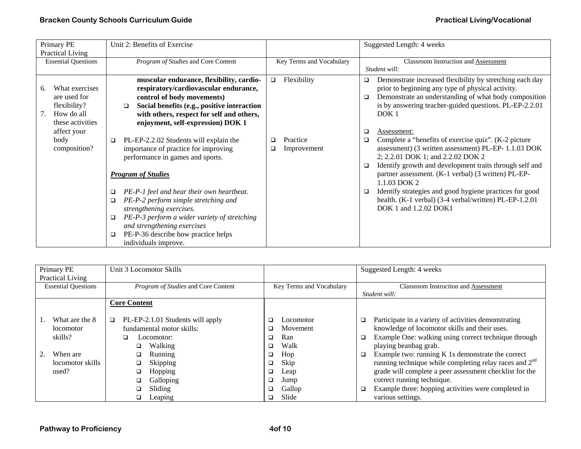|    | Primary PE                 | Unit 2: Benefits of Exercise                           |                          | Suggested Length: 4 weeks                                         |
|----|----------------------------|--------------------------------------------------------|--------------------------|-------------------------------------------------------------------|
|    | Practical Living           |                                                        |                          |                                                                   |
|    | <b>Essential Questions</b> | Program of Studies and Core Content                    | Key Terms and Vocabulary | Classroom Instruction and Assessment                              |
|    |                            |                                                        |                          | Student will:                                                     |
|    |                            | muscular endurance, flexibility, cardio-               | Flexibility<br>$\Box$    | Demonstrate increased flexibility by stretching each day<br>□     |
| б. | What exercises             | respiratory/cardiovascular endurance,                  |                          | prior to beginning any type of physical activity.                 |
|    | are used for               | control of body movements)                             |                          | Demonstrate an understanding of what body composition<br>$\Box$   |
|    | flexibility?               | Social benefits (e.g., positive interaction<br>▫       |                          | is by answering teacher-guided questions. PL-EP-2.2.01            |
| 7. | How do all                 | with others, respect for self and others,              |                          | DOK <sub>1</sub>                                                  |
|    | these activities           | enjoyment, self-expression) DOK 1                      |                          |                                                                   |
|    | affect your                |                                                        |                          | □<br>Assessment:                                                  |
|    | body                       | PL-EP-2.2.02 Students will explain the<br>□            | Practice<br>□            | Complete a "benefits of exercise quiz". (K-2 picture<br>$\Box$    |
|    | composition?               | importance of practice for improving                   | Improvement<br>◻         | assessment) (3 written assessment) PL-EP- 1.1.03 DOK              |
|    |                            | performance in games and sports.                       |                          | 2; 2.2.01 DOK 1; and 2.2.02 DOK 2                                 |
|    |                            |                                                        |                          | Identify growth and development traits through self and<br>$\Box$ |
|    |                            | <b>Program of Studies</b>                              |                          | partner assessment. (K-1 verbal) (3 written) PL-EP-               |
|    |                            |                                                        |                          | 1.1.03 DOK 2                                                      |
|    |                            | PE-P-1 feel and hear their own heartbeat.<br>□         |                          | Identify strategies and good hygiene practices for good<br>$\Box$ |
|    |                            | PE-P-2 perform simple stretching and<br>□              |                          | health. (K-1 verbal) (3-4 verbal/written) PL-EP-1.2.01            |
|    |                            | strengthening exercises.                               |                          | DOK 1 and 1.2.02 DOK1                                             |
|    |                            | PE-P-3 perform a wider variety of stretching<br>$\Box$ |                          |                                                                   |
|    |                            | and strengthening exercises                            |                          |                                                                   |
|    |                            | PE-P-36 describe how practice helps<br>$\Box$          |                          |                                                                   |
|    |                            | individuals improve.                                   |                          |                                                                   |

| Primary PE                 | Unit 3 Locomotor Skills                    |                          | Suggested Length: 4 weeks                                          |
|----------------------------|--------------------------------------------|--------------------------|--------------------------------------------------------------------|
| Practical Living           |                                            |                          |                                                                    |
| <b>Essential Questions</b> | Program of Studies and Core Content        | Key Terms and Vocabulary | <b>Classroom Instruction and Assessment</b>                        |
|                            |                                            |                          | Student will:                                                      |
|                            | <b>Core Content</b>                        |                          |                                                                    |
|                            |                                            |                          |                                                                    |
| What are the 8             | PL-EP-2.1.01 Students will apply<br>$\Box$ | .ocomotor<br>□           | Participate in a variety of activities demonstrating<br>□          |
| locomotor                  | fundamental motor skills:                  | Movement<br>◻            | knowledge of locomotor skills and their uses.                      |
| skills?                    | Locomotor:<br>□                            | Ran<br>❏                 | Example One: walking using correct technique through<br>$\Box$     |
|                            | Walking                                    | Walk<br>□                | playing beanbag grab.                                              |
| When are                   | Running                                    | Hop<br>□                 | Example two: running K 1s demonstrate the correct<br>$\Box$        |
| locomotor skills           | Skipping                                   | Skip<br>$\Box$           | running technique while completing relay races and 2 <sup>nd</sup> |
| used?                      | Hopping                                    | □<br>Leap                | grade will complete a peer assessment checklist for the            |
|                            | Galloping                                  | □<br>Jump                | correct running technique.                                         |
|                            | Sliding                                    | Gallop<br>□              | Example three: hopping activities were completed in<br>$\Box$      |
|                            | Leaping                                    | Slide<br>□               | various settings.                                                  |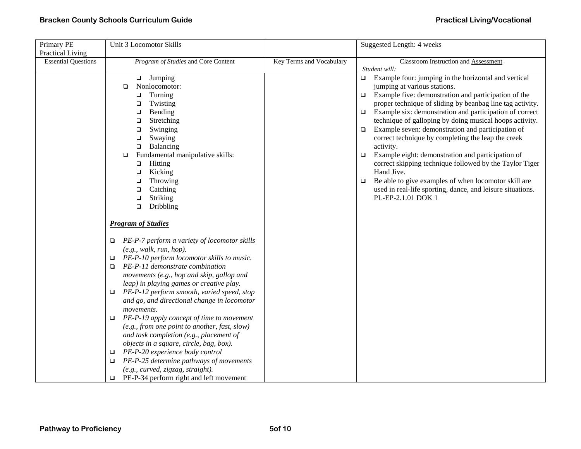| Primary PE                 | Unit 3 Locomotor Skills                                                                        |                                 | Suggested Length: 4 weeks                                                |
|----------------------------|------------------------------------------------------------------------------------------------|---------------------------------|--------------------------------------------------------------------------|
| Practical Living           |                                                                                                |                                 |                                                                          |
| <b>Essential Questions</b> | Program of Studies and Core Content                                                            | <b>Key Terms and Vocabulary</b> | Classroom Instruction and Assessment<br>Student will:                    |
|                            | $\Box$<br>Jumping                                                                              |                                 | $\Box$ Example four: jumping in the horizontal and vertical              |
|                            | Nonlocomotor:<br>$\Box$                                                                        |                                 | jumping at various stations.                                             |
|                            | Turning<br>$\Box$                                                                              |                                 | Example five: demonstration and participation of the<br>$\Box$           |
|                            | Twisting<br>$\Box$                                                                             |                                 | proper technique of sliding by beanbag line tag activity.                |
|                            | Bending<br>$\Box$                                                                              |                                 | Example six: demonstration and participation of correct<br>$\Box$        |
|                            | Stretching<br>$\Box$                                                                           |                                 | technique of galloping by doing musical hoops activity.                  |
|                            | Swinging<br>$\Box$                                                                             |                                 | Example seven: demonstration and participation of<br>$\Box$              |
|                            | $\Box$<br>Swaying                                                                              |                                 | correct technique by completing the leap the creek                       |
|                            | Balancing<br>$\Box$<br>Fundamental manipulative skills:<br>$\Box$                              |                                 | activity.<br>Example eight: demonstration and participation of<br>$\Box$ |
|                            | Hitting<br>$\Box$                                                                              |                                 | correct skipping technique followed by the Taylor Tiger                  |
|                            | Kicking<br>$\Box$                                                                              |                                 | Hand Jive.                                                               |
|                            | Throwing<br>$\Box$                                                                             |                                 | Be able to give examples of when locomotor skill are<br>□                |
|                            | Catching<br>$\Box$                                                                             |                                 | used in real-life sporting, dance, and leisure situations.               |
|                            | Striking<br>$\Box$                                                                             |                                 | PL-EP-2.1.01 DOK 1                                                       |
|                            | Dribbling<br>$\Box$                                                                            |                                 |                                                                          |
|                            | <b>Program of Studies</b>                                                                      |                                 |                                                                          |
|                            | PE-P-7 perform a variety of locomotor skills<br>$\Box$                                         |                                 |                                                                          |
|                            | (e.g., walk, run, hop).                                                                        |                                 |                                                                          |
|                            | PE-P-10 perform locomotor skills to music.<br>$\Box$<br>PE-P-11 demonstrate combination<br>◻   |                                 |                                                                          |
|                            | movements (e.g., hop and skip, gallop and                                                      |                                 |                                                                          |
|                            | leap) in playing games or creative play.                                                       |                                 |                                                                          |
|                            | PE-P-12 perform smooth, varied speed, stop<br>$\Box$                                           |                                 |                                                                          |
|                            | and go, and directional change in locomotor                                                    |                                 |                                                                          |
|                            | movements.                                                                                     |                                 |                                                                          |
|                            | PE-P-19 apply concept of time to movement<br>$\Box$                                            |                                 |                                                                          |
|                            | (e.g., from one point to another, fast, slow)                                                  |                                 |                                                                          |
|                            | and task completion (e.g., placement of                                                        |                                 |                                                                          |
|                            | objects in a square, circle, bag, box).                                                        |                                 |                                                                          |
|                            | PE-P-20 experience body control<br>$\Box$<br>PE-P-25 determine pathways of movements<br>$\Box$ |                                 |                                                                          |
|                            | (e.g., curved, zigzag, straight).                                                              |                                 |                                                                          |
|                            | PE-P-34 perform right and left movement<br>$\Box$                                              |                                 |                                                                          |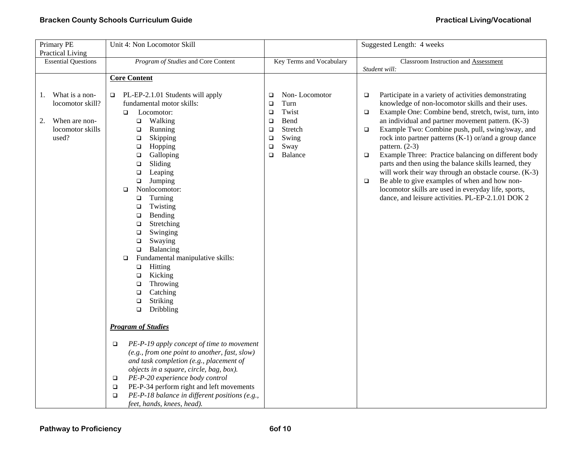| Primary PE                                                                                   | Unit 4: Non Locomotor Skill                                                                                                                                                                                                                                                                                                                                                                                                                                                                                                                                                                                                                 |                                                                                                                                                               | Suggested Length: 4 weeks                                                                                                                                                                                                                                                                                                                                                                                                                                                                                                                                                                                                                                                                                                                        |
|----------------------------------------------------------------------------------------------|---------------------------------------------------------------------------------------------------------------------------------------------------------------------------------------------------------------------------------------------------------------------------------------------------------------------------------------------------------------------------------------------------------------------------------------------------------------------------------------------------------------------------------------------------------------------------------------------------------------------------------------------|---------------------------------------------------------------------------------------------------------------------------------------------------------------|--------------------------------------------------------------------------------------------------------------------------------------------------------------------------------------------------------------------------------------------------------------------------------------------------------------------------------------------------------------------------------------------------------------------------------------------------------------------------------------------------------------------------------------------------------------------------------------------------------------------------------------------------------------------------------------------------------------------------------------------------|
| Practical Living<br><b>Essential Questions</b>                                               | Program of Studies and Core Content                                                                                                                                                                                                                                                                                                                                                                                                                                                                                                                                                                                                         | Key Terms and Vocabulary                                                                                                                                      | Classroom Instruction and Assessment<br>Student will:                                                                                                                                                                                                                                                                                                                                                                                                                                                                                                                                                                                                                                                                                            |
|                                                                                              | <b>Core Content</b>                                                                                                                                                                                                                                                                                                                                                                                                                                                                                                                                                                                                                         |                                                                                                                                                               |                                                                                                                                                                                                                                                                                                                                                                                                                                                                                                                                                                                                                                                                                                                                                  |
| What is a non-<br>Ι.<br>locomotor skill?<br>When are non-<br>2.<br>locomotor skills<br>used? | PL-EP-2.1.01 Students will apply<br>$\Box$<br>fundamental motor skills:<br>Locomotor:<br>▫<br>Walking<br>$\Box$<br>Running<br>$\Box$<br>Skipping<br>$\Box$<br>Hopping<br>$\Box$<br>Galloping<br>$\Box$<br>Sliding<br>$\Box$<br>Leaping<br>$\Box$<br>Jumping<br>$\Box$<br>Nonlocomotor:<br>$\Box$<br>Turning<br>$\Box$<br>Twisting<br>$\Box$<br>Bending<br>$\Box$<br>Stretching<br>$\Box$<br>Swinging<br>$\Box$<br>Swaying<br>$\Box$<br>Balancing<br>$\Box$<br>Fundamental manipulative skills:<br>$\Box$<br>Hitting<br>$\Box$<br>Kicking<br>$\Box$<br>Throwing<br>$\Box$<br>Catching<br>$\Box$<br>Striking<br>$\Box$<br>Dribbling<br>$\Box$ | Non-Locomotor<br>$\Box$<br>$\Box$<br>Turn<br>Twist<br>$\Box$<br>Bend<br>$\Box$<br>Stretch<br>$\Box$<br>Swing<br>$\Box$<br>Sway<br>$\Box$<br>Balance<br>$\Box$ | Participate in a variety of activities demonstrating<br>$\Box$<br>knowledge of non-locomotor skills and their uses.<br>Example One: Combine bend, stretch, twist, turn, into<br>$\Box$<br>an individual and partner movement pattern. (K-3)<br>Example Two: Combine push, pull, swing/sway, and<br>$\Box$<br>rock into partner patterns (K-1) or/and a group dance<br>pattern. $(2-3)$<br>Example Three: Practice balancing on different body<br>$\Box$<br>parts and then using the balance skills learned, they<br>will work their way through an obstacle course. (K-3)<br>Be able to give examples of when and how non-<br>$\Box$<br>locomotor skills are used in everyday life, sports,<br>dance, and leisure activities. PL-EP-2.1.01 DOK 2 |
|                                                                                              | <b>Program of Studies</b>                                                                                                                                                                                                                                                                                                                                                                                                                                                                                                                                                                                                                   |                                                                                                                                                               |                                                                                                                                                                                                                                                                                                                                                                                                                                                                                                                                                                                                                                                                                                                                                  |
|                                                                                              | PE-P-19 apply concept of time to movement<br>$\Box$<br>$(e.g., from one point to another, fast, slow)$<br>and task completion (e.g., placement of<br>objects in a square, circle, bag, box).<br>PE-P-20 experience body control<br>$\Box$<br>PE-P-34 perform right and left movements<br>$\Box$<br>PE-P-18 balance in different positions (e.g.,<br>$\Box$<br>feet, hands, knees, head).                                                                                                                                                                                                                                                    |                                                                                                                                                               |                                                                                                                                                                                                                                                                                                                                                                                                                                                                                                                                                                                                                                                                                                                                                  |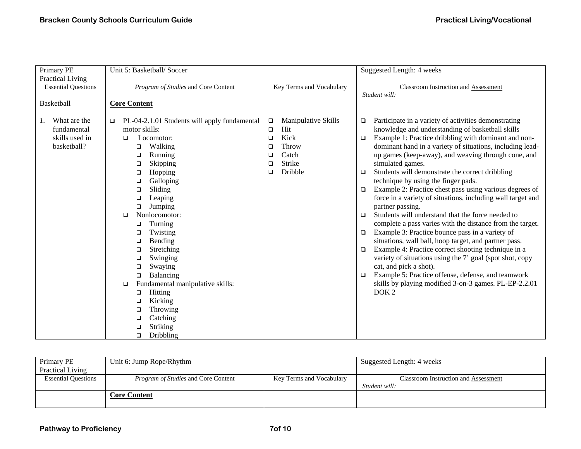| Primary PE                                                   | Unit 5: Basketball/Soccer                                                                                                                                                                                                                                                                                                                                                                                                                                                                                                                                                                                          |                                                                                                                                                 | Suggested Length: 4 weeks                                                                                                                                                                                                                                                                                                                                                                                                                                                                                                                                                                                                                                                                                                                                                                                                                                                                                                                                                                                                                                                                                                       |
|--------------------------------------------------------------|--------------------------------------------------------------------------------------------------------------------------------------------------------------------------------------------------------------------------------------------------------------------------------------------------------------------------------------------------------------------------------------------------------------------------------------------------------------------------------------------------------------------------------------------------------------------------------------------------------------------|-------------------------------------------------------------------------------------------------------------------------------------------------|---------------------------------------------------------------------------------------------------------------------------------------------------------------------------------------------------------------------------------------------------------------------------------------------------------------------------------------------------------------------------------------------------------------------------------------------------------------------------------------------------------------------------------------------------------------------------------------------------------------------------------------------------------------------------------------------------------------------------------------------------------------------------------------------------------------------------------------------------------------------------------------------------------------------------------------------------------------------------------------------------------------------------------------------------------------------------------------------------------------------------------|
| Practical Living                                             |                                                                                                                                                                                                                                                                                                                                                                                                                                                                                                                                                                                                                    |                                                                                                                                                 |                                                                                                                                                                                                                                                                                                                                                                                                                                                                                                                                                                                                                                                                                                                                                                                                                                                                                                                                                                                                                                                                                                                                 |
| <b>Essential Questions</b>                                   | Program of Studies and Core Content                                                                                                                                                                                                                                                                                                                                                                                                                                                                                                                                                                                | Key Terms and Vocabulary                                                                                                                        | <b>Classroom Instruction and Assessment</b>                                                                                                                                                                                                                                                                                                                                                                                                                                                                                                                                                                                                                                                                                                                                                                                                                                                                                                                                                                                                                                                                                     |
|                                                              |                                                                                                                                                                                                                                                                                                                                                                                                                                                                                                                                                                                                                    |                                                                                                                                                 | Student will:                                                                                                                                                                                                                                                                                                                                                                                                                                                                                                                                                                                                                                                                                                                                                                                                                                                                                                                                                                                                                                                                                                                   |
| Basketball                                                   | <b>Core Content</b>                                                                                                                                                                                                                                                                                                                                                                                                                                                                                                                                                                                                |                                                                                                                                                 |                                                                                                                                                                                                                                                                                                                                                                                                                                                                                                                                                                                                                                                                                                                                                                                                                                                                                                                                                                                                                                                                                                                                 |
| What are the<br>fundamental<br>skills used in<br>basketball? | PL-04-2.1.01 Students will apply fundamental<br>□<br>motor skills:<br>Locomotor:<br>$\Box$<br>Walking<br>❏<br>Running<br>$\Box$<br>Skipping<br>$\Box$<br>Hopping<br>$\Box$<br>Galloping<br>$\Box$<br>Sliding<br>$\Box$<br>Leaping<br>$\Box$<br>Jumping<br>□<br>Nonlocomotor:<br>□<br>Turning<br>$\Box$<br>Twisting<br>$\Box$<br>Bending<br>$\Box$<br>Stretching<br>$\Box$<br>Swinging<br>$\Box$<br>Swaying<br>$\Box$<br>Balancing<br>$\Box$<br>Fundamental manipulative skills:<br>$\Box$<br>Hitting<br>$\Box$<br>Kicking<br>Throwing<br>$\Box$<br>Catching<br>$\Box$<br>Striking<br>$\Box$<br>Dribbling<br>$\Box$ | Manipulative Skills<br>$\Box$<br>Hit<br>$\Box$<br>Kick<br>$\Box$<br>Throw<br>$\Box$<br>Catch<br>$\Box$<br>Strike<br>$\Box$<br>Dribble<br>$\Box$ | Participate in a variety of activities demonstrating<br>□<br>knowledge and understanding of basketball skills<br>Example 1: Practice dribbling with dominant and non-<br>$\Box$<br>dominant hand in a variety of situations, including lead-<br>up games (keep-away), and weaving through cone, and<br>simulated games.<br>Students will demonstrate the correct dribbling<br>❏<br>technique by using the finger pads.<br>Example 2: Practice chest pass using various degrees of<br>$\Box$<br>force in a variety of situations, including wall target and<br>partner passing.<br>Students will understand that the force needed to<br>□<br>complete a pass varies with the distance from the target.<br>Example 3: Practice bounce pass in a variety of<br>$\Box$<br>situations, wall ball, hoop target, and partner pass.<br>Example 4: Practice correct shooting technique in a<br>$\Box$<br>variety of situations using the 7' goal (spot shot, copy<br>cat, and pick a shot).<br>Example 5: Practice offense, defense, and teamwork<br>$\Box$<br>skills by playing modified 3-on-3 games. PL-EP-2.2.01<br>DOK <sub>2</sub> |

| Primary PE                 | Unit 6: Jump Rope/Rhythm            |                          | Suggested Length: 4 weeks            |
|----------------------------|-------------------------------------|--------------------------|--------------------------------------|
| <b>Practical Living</b>    |                                     |                          |                                      |
| <b>Essential Questions</b> | Program of Studies and Core Content | Key Terms and Vocabulary | Classroom Instruction and Assessment |
|                            |                                     |                          | Student will:                        |
|                            | <b>Core Content</b>                 |                          |                                      |
|                            |                                     |                          |                                      |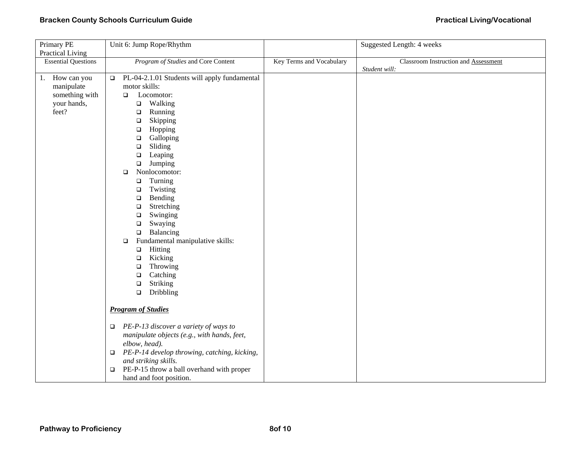## **Bracken County Schools Curriculum Guide** <br> **Bracken County Schools Curriculum Guide Practical Living/Vocational**

| Primary PE                                     | Unit 6: Jump Rope/Rhythm                               |                          | Suggested Length: 4 weeks            |
|------------------------------------------------|--------------------------------------------------------|--------------------------|--------------------------------------|
| Practical Living<br><b>Essential Questions</b> | Program of Studies and Core Content                    | Key Terms and Vocabulary | Classroom Instruction and Assessment |
|                                                |                                                        |                          | Student will:                        |
| How can you<br>1.                              | PL-04-2.1.01 Students will apply fundamental<br>$\Box$ |                          |                                      |
| manipulate                                     | motor skills:                                          |                          |                                      |
| something with                                 | $\Box$<br>Locomotor:                                   |                          |                                      |
| your hands,                                    | Walking<br>$\Box$                                      |                          |                                      |
| feet?                                          | Running<br>$\Box$                                      |                          |                                      |
|                                                | Skipping<br>$\Box$                                     |                          |                                      |
|                                                | $\Box$<br>Hopping                                      |                          |                                      |
|                                                | Galloping<br>$\Box$                                    |                          |                                      |
|                                                | Sliding<br>$\Box$                                      |                          |                                      |
|                                                | $\Box$<br>Leaping                                      |                          |                                      |
|                                                | Jumping<br>$\Box$                                      |                          |                                      |
|                                                | Nonlocomotor:<br>$\Box$                                |                          |                                      |
|                                                | Turning<br>$\Box$                                      |                          |                                      |
|                                                | Twisting<br>$\Box$                                     |                          |                                      |
|                                                | Bending<br>$\Box$                                      |                          |                                      |
|                                                | Stretching<br>$\Box$                                   |                          |                                      |
|                                                | Swinging<br>$\Box$                                     |                          |                                      |
|                                                | Swaying<br>$\Box$                                      |                          |                                      |
|                                                | Balancing<br>$\Box$                                    |                          |                                      |
|                                                | Fundamental manipulative skills:<br>$\Box$             |                          |                                      |
|                                                | Hitting<br>$\Box$                                      |                          |                                      |
|                                                | Kicking<br>$\Box$                                      |                          |                                      |
|                                                | Throwing<br>$\Box$                                     |                          |                                      |
|                                                | Catching<br>$\Box$                                     |                          |                                      |
|                                                | Striking<br>$\Box$                                     |                          |                                      |
|                                                | Dribbling<br>$\Box$                                    |                          |                                      |
|                                                | <b>Program of Studies</b>                              |                          |                                      |
|                                                |                                                        |                          |                                      |
|                                                | PE-P-13 discover a variety of ways to<br>$\Box$        |                          |                                      |
|                                                | manipulate objects (e.g., with hands, feet,            |                          |                                      |
|                                                | elbow, head).                                          |                          |                                      |
|                                                | PE-P-14 develop throwing, catching, kicking,<br>$\Box$ |                          |                                      |
|                                                | and striking skills.                                   |                          |                                      |
|                                                | PE-P-15 throw a ball overhand with proper<br>$\Box$    |                          |                                      |
|                                                | hand and foot position.                                |                          |                                      |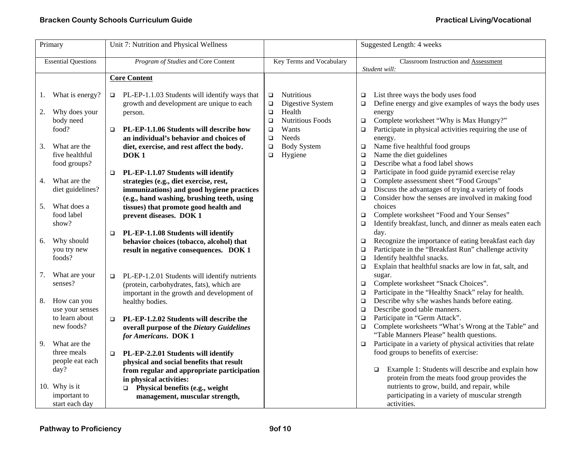|    | Primary                           | Unit 7: Nutrition and Physical Wellness                                                                                    | Suggested Length: 4 weeks                                                                                                                                                      |
|----|-----------------------------------|----------------------------------------------------------------------------------------------------------------------------|--------------------------------------------------------------------------------------------------------------------------------------------------------------------------------|
|    | <b>Essential Questions</b>        | Program of Studies and Core Content                                                                                        | Key Terms and Vocabulary<br>Classroom Instruction and Assessment<br>Student will:                                                                                              |
|    |                                   | <b>Core Content</b>                                                                                                        |                                                                                                                                                                                |
|    | 1. What is energy?                | PL-EP-1.1.03 Students will identify ways that<br>$\Box$<br>$\Box$<br>growth and development are unique to each<br>$\Box$   | List three ways the body uses food<br><b>Nutritious</b><br>$\Box$<br>Define energy and give examples of ways the body uses<br>Digestive System<br>o.                           |
| 2. | Why does your                     | $\Box$<br>person.                                                                                                          | Health<br>energy                                                                                                                                                               |
|    | body need<br>food?                | $\Box$<br>PL-EP-1.1.06 Students will describe how<br>$\Box$<br>$\Box$<br>an individual's behavior and choices of<br>$\Box$ | Complete worksheet "Why is Max Hungry?"<br><b>Nutritious Foods</b><br>$\Box$<br>Participate in physical activities requiring the use of<br>Wants<br>$\Box$<br>Needs<br>energy. |
| 3. | What are the<br>five healthful    | $\Box$<br>diet, exercise, and rest affect the body.<br>DOK <sub>1</sub><br>$\Box$                                          | <b>Body System</b><br>Name five healthful food groups<br>$\Box$<br>Name the diet guidelines<br>Hygiene<br>$\Box$                                                               |
|    | food groups?                      | PL-EP-1.1.07 Students will identify<br>$\Box$                                                                              | Describe what a food label shows<br>$\Box$<br>Participate in food guide pyramid exercise relay<br>$\Box$                                                                       |
| 4. | What are the<br>diet guidelines?  | strategies (e.g., diet exercise, rest,<br>immunizations) and good hygiene practices                                        | Complete assessment sheet "Food Groups"<br>$\Box$<br>Discuss the advantages of trying a variety of foods<br>$\Box$                                                             |
|    | What does a                       | (e.g., hand washing, brushing teeth, using                                                                                 | Consider how the senses are involved in making food<br>$\Box$<br>choices                                                                                                       |
| 5. | food label                        | tissues) that promote good health and<br>prevent diseases. DOK 1                                                           | Complete worksheet "Food and Your Senses"<br>$\Box$                                                                                                                            |
|    | show?                             | PL-EP-1.1.08 Students will identify<br>$\Box$                                                                              | Identify breakfast, lunch, and dinner as meals eaten each<br>$\Box$<br>day.                                                                                                    |
| 6. | Why should<br>you try new         | behavior choices (tobacco, alcohol) that<br>result in negative consequences. DOK 1                                         | Recognize the importance of eating breakfast each day<br>$\Box$<br>Participate in the "Breakfast Run" challenge activity<br>$\Box$                                             |
|    | foods?                            |                                                                                                                            | Identify healthful snacks.<br>$\Box$                                                                                                                                           |
|    | 7. What are your                  | PL-EP-1.2.01 Students will identify nutrients<br>$\Box$                                                                    | Explain that healthful snacks are low in fat, salt, and<br>$\Box$<br>sugar.                                                                                                    |
|    | senses?                           | (protein, carbohydrates, fats), which are<br>important in the growth and development of                                    | Complete worksheet "Snack Choices".<br>$\Box$<br>Participate in the "Healthy Snack" relay for health.<br>$\Box$                                                                |
| 8. | How can you                       | healthy bodies.                                                                                                            | Describe why s/he washes hands before eating.<br>$\Box$                                                                                                                        |
|    | use your senses<br>to learn about | PL-EP-1.2.02 Students will describe the<br>$\Box$                                                                          | Describe good table manners.<br>$\Box$<br>Participate in "Germ Attack".<br>$\Box$                                                                                              |
|    | new foods?                        | overall purpose of the Dietary Guidelines                                                                                  | Complete worksheets "What's Wrong at the Table" and<br>$\Box$<br>"Table Manners Please" health questions.                                                                      |
| 9. | What are the                      | for Americans. DOK 1                                                                                                       | Participate in a variety of physical activities that relate<br>$\Box$                                                                                                          |
|    | three meals<br>people eat each    | PL-EP-2.2.01 Students will identify<br>$\Box$<br>physical and social benefits that result                                  | food groups to benefits of exercise:                                                                                                                                           |
|    | day?                              | from regular and appropriate participation                                                                                 | Example 1: Students will describe and explain how<br>□                                                                                                                         |
|    | 10. Why is it                     | in physical activities:<br>$\Box$ Physical benefits (e.g., weight                                                          | protein from the meats food group provides the<br>nutrients to grow, build, and repair, while                                                                                  |
|    | important to<br>start each day    | management, muscular strength,                                                                                             | participating in a variety of muscular strength<br>activities.                                                                                                                 |